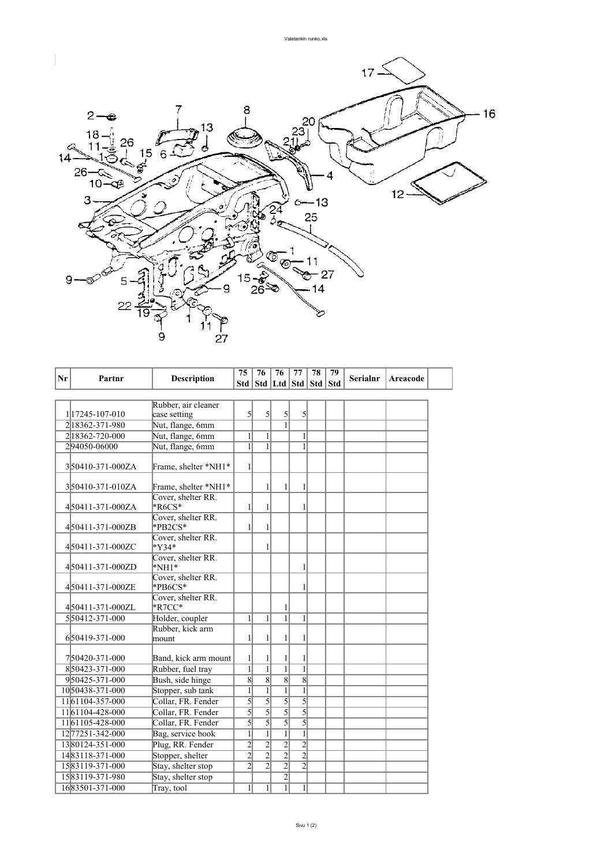

| Nr | Partnr           | <b>Description</b>                 | 75             | 76             | 76                    | 77             | 78 | 79         | <b>Serialnr</b> | Areacode |  |
|----|------------------|------------------------------------|----------------|----------------|-----------------------|----------------|----|------------|-----------------|----------|--|
|    |                  |                                    | Std            |                | Std   Ltd   Std   Std |                |    | <b>Std</b> |                 |          |  |
|    |                  |                                    |                |                |                       |                |    |            |                 |          |  |
|    |                  | Rubber, air cleaner                |                |                |                       |                |    |            |                 |          |  |
|    | 117245-107-010   | case setting                       | 5              | 5              | 5                     | $\mathcal{S}$  |    |            |                 |          |  |
|    | 2 18362-371-980  | Nut, flange, 6mm                   |                |                |                       |                |    |            |                 |          |  |
|    | 218362-720-000   | Nut, flange, 6mm                   | 1              | 1              |                       | 1              |    |            |                 |          |  |
|    | 294050-06000     | Nut, flange, 6mm                   | 1              | $\mathbf{1}$   |                       | 1              |    |            |                 |          |  |
|    | 350410-371-000ZA | Frame, shelter *NH1*               | 1              |                |                       |                |    |            |                 |          |  |
|    | 350410-371-010ZA | Frame, shelter *NH1*               |                | 1              | $\mathbf{1}$          | 1              |    |            |                 |          |  |
|    | 450411-371-000ZA | Cover, shelter RR.<br>$*R6CS*$     | 1              | 1              |                       | 1              |    |            |                 |          |  |
|    | 450411-371-000ZB | Cover, shelter RR.<br>*PB2CS*      | 1              | 1              |                       |                |    |            |                 |          |  |
|    | 450411-371-000ZC | Cover, shelter RR.<br>$*V34*$      |                | 1              |                       |                |    |            |                 |          |  |
|    | 450411-371-000ZD | Cover, shelter RR.<br>$*NH1*$      |                |                |                       | 1              |    |            |                 |          |  |
|    | 450411-371-000ZE | Cover, shelter RR.<br>$*PBCS*$     |                |                |                       | 1              |    |            |                 |          |  |
|    | 450411-371-000ZL | Cover, shelter RR.<br>$*$ R7CC $*$ |                |                | 1                     |                |    |            |                 |          |  |
|    | 550412-371-000   | Holder, coupler                    | 1              | 1              | $\overline{1}$        | 1              |    |            |                 |          |  |
|    | 650419-371-000   | Rubber, kick arm<br>mount          | 1              | 1              | $\mathbf{1}$          | 1              |    |            |                 |          |  |
|    | 750420-371-000   | Band, kick arm mount               | 1              |                | 1                     | 1              |    |            |                 |          |  |
|    | 850423-371-000   | Rubber, fuel tray                  | $\overline{1}$ | $\mathbf{1}$   | $\overline{1}$        | $\mathbf{1}$   |    |            |                 |          |  |
|    | 950425-371-000   | Bush, side hinge                   | $\overline{8}$ | $\overline{8}$ | $\overline{8}$        | $\overline{8}$ |    |            |                 |          |  |
|    | 1050438-371-000  | Stopper, sub tank                  | $\mathbf{1}$   | $\mathbf{1}$   | $\overline{1}$        | $\overline{1}$ |    |            |                 |          |  |
|    | 1161104-357-000  | Collar, FR. Fender                 | 5              | $\overline{5}$ | $\overline{5}$        | $\overline{5}$ |    |            |                 |          |  |
|    | 1161104-428-000  | Collar, FR. Fender                 | 5              | $\overline{5}$ | $\overline{5}$        | $\overline{5}$ |    |            |                 |          |  |
|    | 1161105-428-000  | Collar, FR. Fender                 | 5              | $\mathcal{F}$  | 5                     | 5              |    |            |                 |          |  |
|    | 12 77251-342-000 | Bag, service book                  | 1              | $\mathbf{1}$   | $\mathbf{1}$          | 1              |    |            |                 |          |  |
|    | 1380124-351-000  | Plug, RR. Fender                   | $\overline{c}$ | $\overline{2}$ | $\overline{2}$        | $\overline{2}$ |    |            |                 |          |  |
|    | 1483118-371-000  | Stopper, shelter                   | $\overline{2}$ | $\overline{2}$ | $\overline{2}$        | $\overline{2}$ |    |            |                 |          |  |
|    | 1583119-371-000  | Stay, shelter stop                 | $\overline{2}$ | $\overline{2}$ | $\overline{2}$        | $\overline{2}$ |    |            |                 |          |  |
|    | 1583119-371-980  | Stay, shelter stop                 |                |                | $\overline{2}$        |                |    |            |                 |          |  |
|    | 1683501-371-000  | Tray, tool                         | $\mathbf{1}$   | $\mathbf{1}$   | $\overline{1}$        | 1              |    |            |                 |          |  |